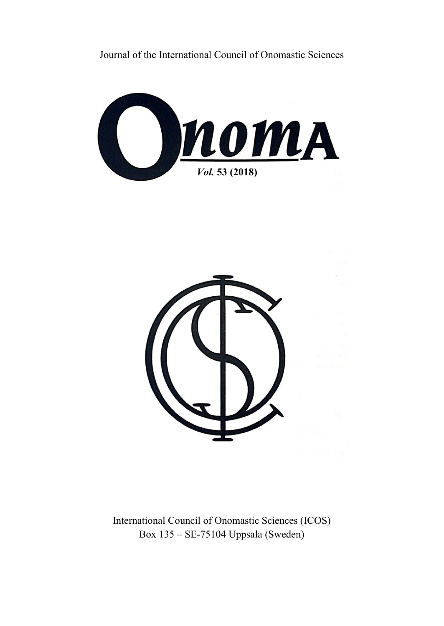Journal of the International Council of Onomastic Sciences





International Council of Onomastic Sciences (ICOS) Box 135 – SE-75104 Uppsala (Sweden)